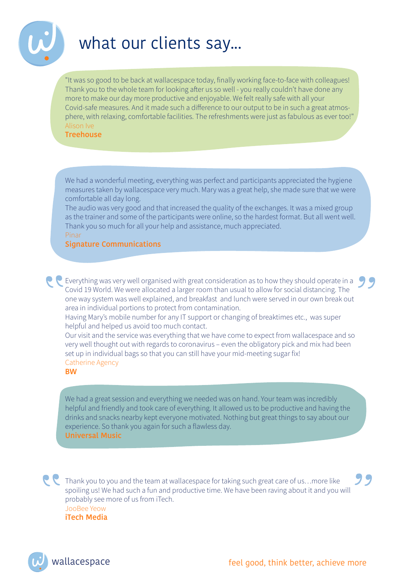

# what our clients say...

"It was so good to be back at wallacespace today, finally working face-to-face with colleagues! Thank you to the whole team for looking after us so well - you really couldn't have done any more to make our day more productive and enjoyable. We felt really safe with all your Covid-safe measures. And it made such a difference to our output to be in such a great atmosphere, with relaxing, comfortable facilities. The refreshments were just as fabulous as ever too!" Alison Ive

**Treehouse**

We had a wonderful meeting, everything was perfect and participants appreciated the hygiene measures taken by wallacespace very much. Mary was a great help, she made sure that we were comfortable all day long.

The audio was very good and that increased the quality of the exchanges. It was a mixed group as the trainer and some of the participants were online, so the hardest format. But all went well. Thank you so much for all your help and assistance, much appreciated. Pinar

**Signature Communications**

Everything was very well organised with great consideration as to how they should operate in a Covid 19 World. We were allocated a larger room than usual to allow for social distancing. The one way system was well explained, and breakfast and lunch were served in our own break out area in individual portions to protect from contamination.

Having Mary's mobile number for any IT support or changing of breaktimes etc., was super helpful and helped us avoid too much contact.

Our visit and the service was everything that we have come to expect from wallacespace and so very well thought out with regards to coronavirus – even the obligatory pick and mix had been set up in individual bags so that you can still have your mid-meeting sugar fix! Catherine Agency

**BW**

We had a great session and everything we needed was on hand. Your team was incredibly helpful and friendly and took care of everything. It allowed us to be productive and having the drinks and snacks nearby kept everyone motivated. Nothing but great things to say about our experience. So thank you again for such a flawless day. **Universal Music**

Thank you to you and the team at wallacespace for taking such great care of us...more like spoiling us! We had such a fun and productive time. We have been raving about it and you will probably see more of us from iTech. JooBee Yeow **iTech Media**

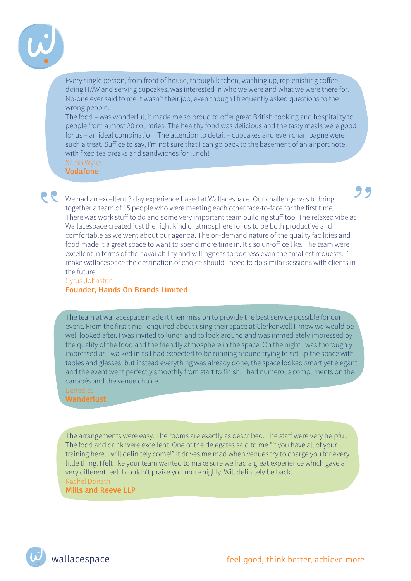

Every single person, from front of house, through kitchen, washing up, replenishing coffee, doing IT/AV and serving cupcakes, was interested in who we were and what we were there for. No-one ever said to me it wasn't their job, even though I frequently asked questions to the wrong people.

The food - was wonderful, it made me so proud to offer great British cooking and hospitality to people from almost 20 countries. The healthy food was delicious and the tasty meals were good for us – an ideal combination. The attention to detail – cupcakes and even champagne were such a treat. Suffice to say, I'm not sure that I can go back to the basement of an airport hotel with fixed tea breaks and sandwiches for lunch!

Sarah Wylie

**Vodafone**

We had an excellent 3 day experience based at Wallacespace. Our challenge was to bring together a team of 15 people who were meeting each other face-to-face for the first time. There was work stuff to do and some very important team building stuff too. The relaxed vibe at Wallacespace created just the right kind of atmosphere for us to be both productive and comfortable as we went about our agenda. The on-demand nature of the quality facilities and food made it a great space to want to spend more time in. It's so un-office like. The team were excellent in terms of their availability and willingness to address even the smallest requests. I'll make wallacespace the destination of choice should I need to do similar sessions with clients in the future.

### Cyrus Johnston **Founder, Hands On Brands Limited**

The team at wallacespace made it their mission to provide the best service possible for our event. From the first time I enquired about using their space at Clerkenwell I knew we would be well looked after. I was invited to lunch and to look around and was immediately impressed by the quality of the food and the friendly atmosphere in the space. On the night I was thoroughly impressed as I walked in as I had expected to be running around trying to set up the space with tables and glasses, but instead everything was already done, the space looked smart yet elegant and the event went perfectly smoothly from start to finish. I had numerous compliments on the canapés and the venue choice.

**Wanderlust**

The arrangements were easy. The rooms are exactly as described. The staff were very helpful. The food and drink were excellent. One of the delegates said to me "if you have all of your training here, I will definitely come!" It drives me mad when venues try to charge you for every little thing. I felt like your team wanted to make sure we had a great experience which gave a very different feel. I couldn't praise you more highly. Will definitely be back. Rachel Donath

**Mills and Reeve LLP**